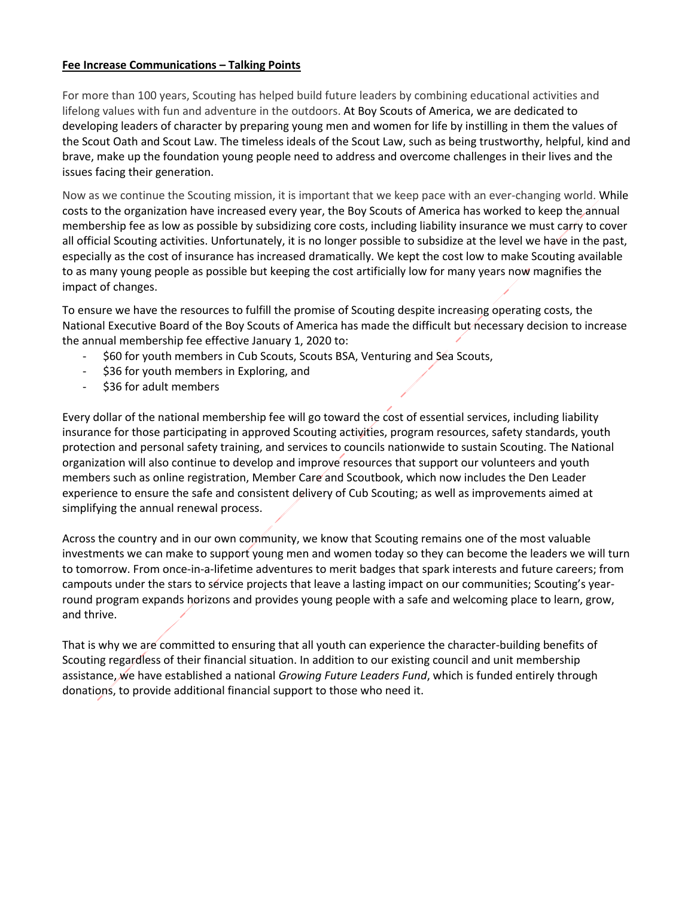#### **Fee Increase Communications – Talking Points**

For more than 100 years, Scouting has helped build future leaders by combining educational activities and lifelong values with fun and adventure in the outdoors. At Boy Scouts of America, we are dedicated to developing leaders of character by preparing young men and women for life by instilling in them the values of the Scout Oath and Scout Law. The timeless ideals of the Scout Law, such as being trustworthy, helpful, kind and brave, make up the foundation young people need to address and overcome challenges in their lives and the issues facing their generation.

Now as we continue the Scouting mission, it is important that we keep pace with an ever-changing world. While costs to the organization have increased every year, the Boy Scouts of America has worked to keep the annual membership fee as low as possible by subsidizing core costs, including liability insurance we must carry to cover all official Scouting activities. Unfortunately, it is no longer possible to subsidize at the level we have in the past, especially as the cost of insurance has increased dramatically. We kept the cost low to make Scouting available to as many young people as possible but keeping the cost artificially low for many years now magnifies the impact of changes.

To ensure we have the resources to fulfill the promise of Scouting despite increasing operating costs, the National Executive Board of the Boy Scouts of America has made the difficult but necessary decision to increase the annual membership fee effective January 1, 2020 to:

- \$60 for youth members in Cub Scouts, Scouts BSA, Venturing and Sea Scouts,
- \$36 for youth members in Exploring, and
- \$36 for adult members

Every dollar of the national membership fee will go toward the cost of essential services, including liability insurance for those participating in approved Scouting activities, program resources, safety standards, youth protection and personal safety training, and services to councils nationwide to sustain Scouting. The National organization will also continue to develop and improve resources that support our volunteers and youth members such as online registration, Member Care and Scoutbook, which now includes the Den Leader experience to ensure the safe and consistent delivery of Cub Scouting; as well as improvements aimed at simplifying the annual renewal process.

Across the country and in our own community, we know that Scouting remains one of the most valuable investments we can make to support young men and women today so they can become the leaders we will turn to tomorrow. From once-in-a-lifetime adventures to merit badges that spark interests and future careers; from campouts under the stars to service projects that leave a lasting impact on our communities; Scouting's yearround program expands horizons and provides young people with a safe and welcoming place to learn, grow, and thrive.

That is why we are committed to ensuring that all youth can experience the character-building benefits of Scouting regardless of their financial situation. In addition to our existing council and unit membership assistance, we have established a national *Growing Future Leaders Fund*, which is funded entirely through donations, to provide additional financial support to those who need it.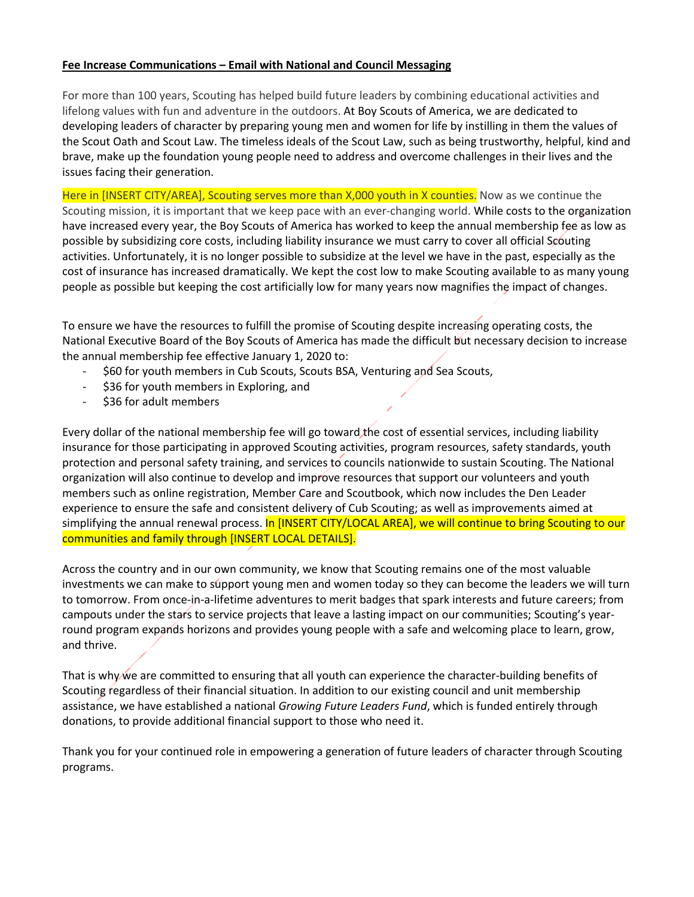#### **Fee Increase Communications – Email with National and Council Messaging**

For more than 100 years, Scouting has helped build future leaders by combining educational activities and lifelong values with fun and adventure in the outdoors. At Boy Scouts of America, we are dedicated to developing leaders of character by preparing young men and women for life by instilling in them the values of the Scout Oath and Scout Law. The timeless ideals of the Scout Law, such as being trustworthy, helpful, kind and brave, make up the foundation young people need to address and overcome challenges in their lives and the issues facing their generation.

Here in [INSERT CITY/AREA], Scouting serves more than X,000 youth in X counties. Now as we continue the Scouting mission, it is important that we keep pace with an ever-changing world. While costs to the organization have increased every year, the Boy Scouts of America has worked to keep the annual membership fee as low as possible by subsidizing core costs, including liability insurance we must carry to cover all official Scouting activities. Unfortunately, it is no longer possible to subsidize at the level we have in the past, especially as the cost of insurance has increased dramatically. We kept the cost low to make Scouting available to as many young people as possible but keeping the cost artificially low for many years now magnifies the impact of changes.

To ensure we have the resources to fulfill the promise of Scouting despite increasing operating costs, the National Executive Board of the Boy Scouts of America has made the difficult but necessary decision to increase the annual membership fee effective January 1, 2020 to:

- \$60 for youth members in Cub Scouts, Scouts BSA, Venturing and Sea Scouts,
- \$36 for youth members in Exploring, and
- \$36 for adult members

Every dollar of the national membership fee will go toward the cost of essential services, including liability insurance for those participating in approved Scouting activities, program resources, safety standards, youth protection and personal safety training, and services to councils nationwide to sustain Scouting. The National organization will also continue to develop and improve resources that support our volunteers and youth members such as online registration, Member Care and Scoutbook, which now includes the Den Leader experience to ensure the safe and consistent delivery of Cub Scouting; as well as improvements aimed at simplifying the annual renewal process. In [INSERT CITY/LOCAL AREA], we will continue to bring Scouting to our communities and family through [INSERT LOCAL DETAILS].

Across the country and in our own community, we know that Scouting remains one of the most valuable investments we can make to support young men and women today so they can become the leaders we will turn to tomorrow. From once-in-a-lifetime adventures to merit badges that spark interests and future careers; from campouts under the stars to service projects that leave a lasting impact on our communities; Scouting's yearround program expands horizons and provides young people with a safe and welcoming place to learn, grow, and thrive.

That is why we are committed to ensuring that all youth can experience the character-building benefits of Scouting regardless of their financial situation. In addition to our existing council and unit membership assistance, we have established a national *Growing Future Leaders Fund*, which is funded entirely through donations, to provide additional financial support to those who need it.

Thank you for your continued role in empowering a generation of future leaders of character through Scouting programs.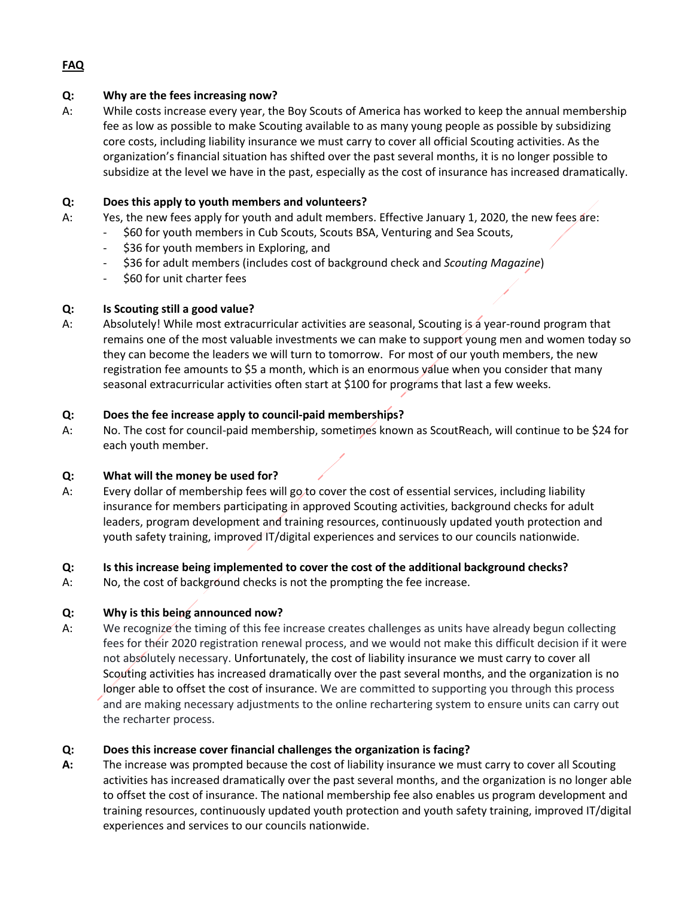# **Q: Why are the fees increasing now?**

A: While costs increase every year, the Boy Scouts of America has worked to keep the annual membership fee as low as possible to make Scouting available to as many young people as possible by subsidizing core costs, including liability insurance we must carry to cover all official Scouting activities. As the organization's financial situation has shifted over the past several months, it is no longer possible to subsidize at the level we have in the past, especially as the cost of insurance has increased dramatically.

# **Q: Does this apply to youth members and volunteers?**

- A: Yes, the new fees apply for youth and adult members. Effective January 1, 2020, the new fees are:
	- \$60 for youth members in Cub Scouts, Scouts BSA, Venturing and Sea Scouts,
	- \$36 for youth members in Exploring, and
	- \$36 for adult members (includes cost of background check and *Scouting Magazine*)
	- \$60 for unit charter fees

# **Q: Is Scouting still a good value?**

A: Absolutely! While most extracurricular activities are seasonal, Scouting is a year-round program that remains one of the most valuable investments we can make to support young men and women today so they can become the leaders we will turn to tomorrow. For most of our youth members, the new registration fee amounts to \$5 a month, which is an enormous value when you consider that many seasonal extracurricular activities often start at \$100 for programs that last a few weeks.

# **Q: Does the fee increase apply to council-paid memberships?**

A: No. The cost for council-paid membership, sometimes known as ScoutReach, will continue to be \$24 for each youth member.

# **Q: What will the money be used for?**

A: Every dollar of membership fees will go to cover the cost of essential services, including liability insurance for members participating in approved Scouting activities, background checks for adult leaders, program development and training resources, continuously updated youth protection and youth safety training, improved IT/digital experiences and services to our councils nationwide.

# **Q: Is this increase being implemented to cover the cost of the additional background checks?**

A: No, the cost of background checks is not the prompting the fee increase.

# **Q: Why is this being announced now?**

A: We recognize the timing of this fee increase creates challenges as units have already begun collecting fees for their 2020 registration renewal process, and we would not make this difficult decision if it were not absolutely necessary. Unfortunately, the cost of liability insurance we must carry to cover all Scouting activities has increased dramatically over the past several months, and the organization is no longer able to offset the cost of insurance. We are committed to supporting you through this process and are making necessary adjustments to the online rechartering system to ensure units can carry out the recharter process.

# **Q: Does this increase cover financial challenges the organization is facing?**

**A:** The increase was prompted because the cost of liability insurance we must carry to cover all Scouting activities has increased dramatically over the past several months, and the organization is no longer able to offset the cost of insurance. The national membership fee also enables us program development and training resources, continuously updated youth protection and youth safety training, improved IT/digital experiences and services to our councils nationwide.

## **FAQ**